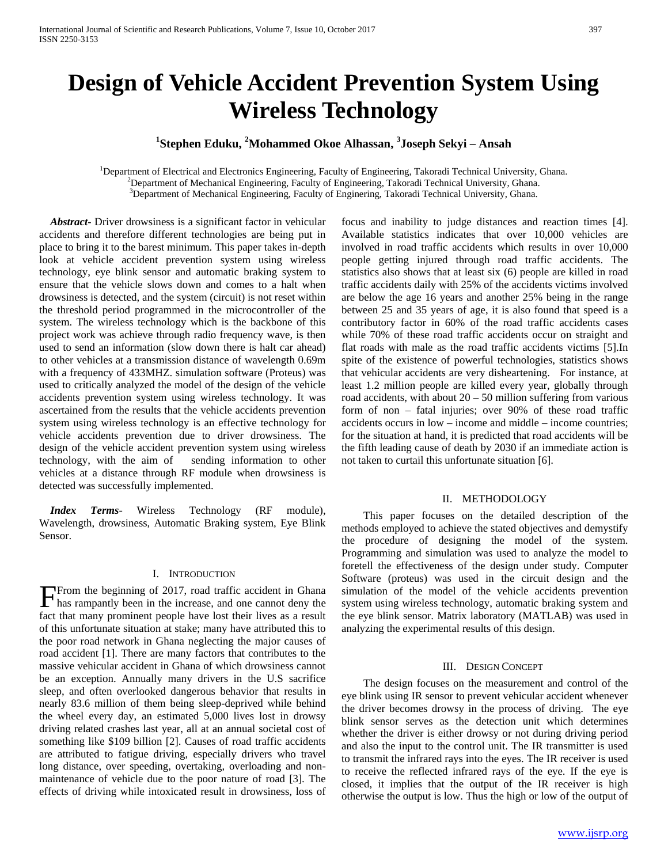# **Design of Vehicle Accident Prevention System Using Wireless Technology**

## **1 Stephen Eduku, <sup>2</sup> Mohammed Okoe Alhassan, <sup>3</sup> Joseph Sekyi – Ansah**

<sup>1</sup>Department of Electrical and Electronics Engineering, Faculty of Engineering, Takoradi Technical University, Ghana. <sup>2</sup>Department of Machanical Engineering, Faculty of Engineering, Takoradi Technical University, Ghana. <sup>2</sup>Department of Mechanical Engineering, Faculty of Engineering, Takoradi Technical University, Ghana.

 $3$ Department of Mechanical Engineering, Faculty of Enginering, Takoradi Technical University, Ghana.

 *Abstract***-** Driver drowsiness is a significant factor in vehicular accidents and therefore different technologies are being put in place to bring it to the barest minimum. This paper takes in-depth look at vehicle accident prevention system using wireless technology, eye blink sensor and automatic braking system to ensure that the vehicle slows down and comes to a halt when drowsiness is detected, and the system (circuit) is not reset within the threshold period programmed in the microcontroller of the system. The wireless technology which is the backbone of this project work was achieve through radio frequency wave, is then used to send an information (slow down there is halt car ahead) to other vehicles at a transmission distance of wavelength 0.69m with a frequency of 433MHZ. simulation software (Proteus) was used to critically analyzed the model of the design of the vehicle accidents prevention system using wireless technology. It was ascertained from the results that the vehicle accidents prevention system using wireless technology is an effective technology for vehicle accidents prevention due to driver drowsiness. The design of the vehicle accident prevention system using wireless technology, with the aim of sending information to other vehicles at a distance through RF module when drowsiness is detected was successfully implemented.

 *Index Terms*- Wireless Technology (RF module), Wavelength, drowsiness, Automatic Braking system, Eye Blink Sensor.

#### I. INTRODUCTION

From the beginning of 2017, road traffic accident in Ghana From the beginning of 2017, road traffic accident in Ghana<br>has rampantly been in the increase, and one cannot deny the fact that many prominent people have lost their lives as a result of this unfortunate situation at stake; many have attributed this to the poor road network in Ghana neglecting the major causes of road accident [1]. There are many factors that contributes to the massive vehicular accident in Ghana of which drowsiness cannot be an exception. Annually many drivers in the U.S sacrifice sleep, and often overlooked dangerous behavior that results in nearly 83.6 million of them being sleep-deprived while behind the wheel every day, an estimated 5,000 lives lost in drowsy driving related crashes last year, all at an annual societal cost of something like \$109 billion [2]. Causes of road traffic accidents are attributed to fatigue driving, especially drivers who travel long distance, over speeding, overtaking, overloading and nonmaintenance of vehicle due to the poor nature of road [3]. The effects of driving while intoxicated result in drowsiness, loss of

focus and inability to judge distances and reaction times [4]. Available statistics indicates that over 10,000 vehicles are involved in road traffic accidents which results in over 10,000 people getting injured through road traffic accidents. The statistics also shows that at least six (6) people are killed in road traffic accidents daily with 25% of the accidents victims involved are below the age 16 years and another 25% being in the range between 25 and 35 years of age, it is also found that speed is a contributory factor in 60% of the road traffic accidents cases while 70% of these road traffic accidents occur on straight and flat roads with male as the road traffic accidents victims [5].In spite of the existence of powerful technologies, statistics shows that vehicular accidents are very disheartening. For instance, at least 1.2 million people are killed every year, globally through road accidents, with about  $20 - 50$  million suffering from various form of non – fatal injuries; over 90% of these road traffic accidents occurs in low – income and middle – income countries; for the situation at hand, it is predicted that road accidents will be the fifth leading cause of death by 2030 if an immediate action is not taken to curtail this unfortunate situation [6].

#### II. METHODOLOGY

 This paper focuses on the detailed description of the methods employed to achieve the stated objectives and demystify the procedure of designing the model of the system. Programming and simulation was used to analyze the model to foretell the effectiveness of the design under study. Computer Software (proteus) was used in the circuit design and the simulation of the model of the vehicle accidents prevention system using wireless technology, automatic braking system and the eye blink sensor. Matrix laboratory (MATLAB) was used in analyzing the experimental results of this design.

## III. DESIGN CONCEPT

 The design focuses on the measurement and control of the eye blink using IR sensor to prevent vehicular accident whenever the driver becomes drowsy in the process of driving. The eye blink sensor serves as the detection unit which determines whether the driver is either drowsy or not during driving period and also the input to the control unit. The IR transmitter is used to transmit the infrared rays into the eyes. The IR receiver is used to receive the reflected infrared rays of the eye. If the eye is closed, it implies that the output of the IR receiver is high otherwise the output is low. Thus the high or low of the output of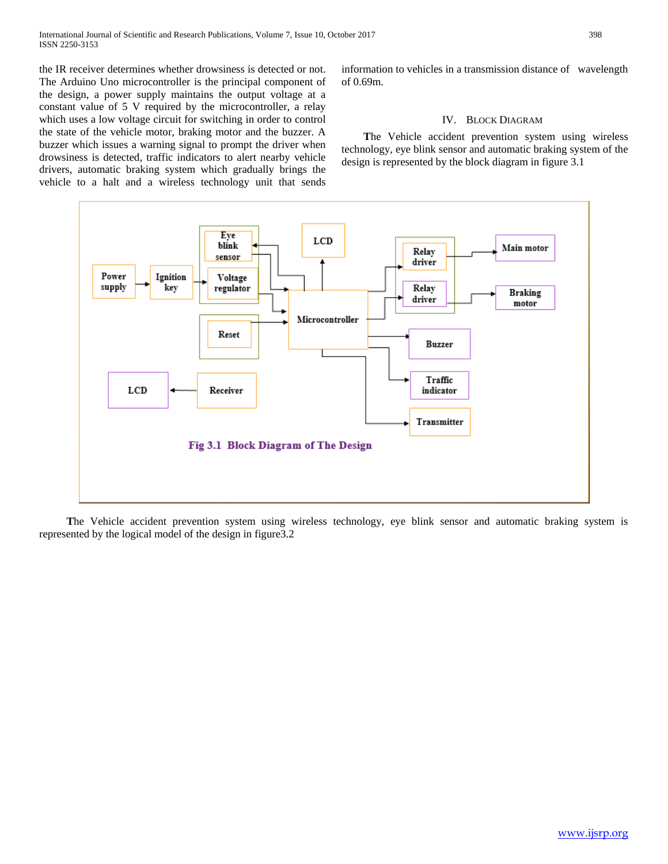the IR receiver determines whether drowsiness is detected or not. The Arduino Uno microcontroller is the principal component of the design, a power supply maintains the output voltage at a constant value of 5 V required by the microcontroller, a relay which uses a low voltage circuit for switching in order to control the state of the vehicle motor, braking motor and the buzzer. A buzzer which issues a warning signal to prompt the driver when drowsiness is detected, traffic indicators to alert nearby vehicle drivers, automatic braking system which gradually brings the vehicle to a halt and a wireless technology unit that sends information to vehicles in a transmission distance of wavelength of 0.69m.

### IV. BLOCK DIAGRAM

 **T**he Vehicle accident prevention system using wireless technology, eye blink sensor and automatic braking system of the design is represented by the block diagram in figure 3.1



 **T**he Vehicle accident prevention system using wireless technology, eye blink sensor and automatic braking system is represented by the logical model of the design in figure3.2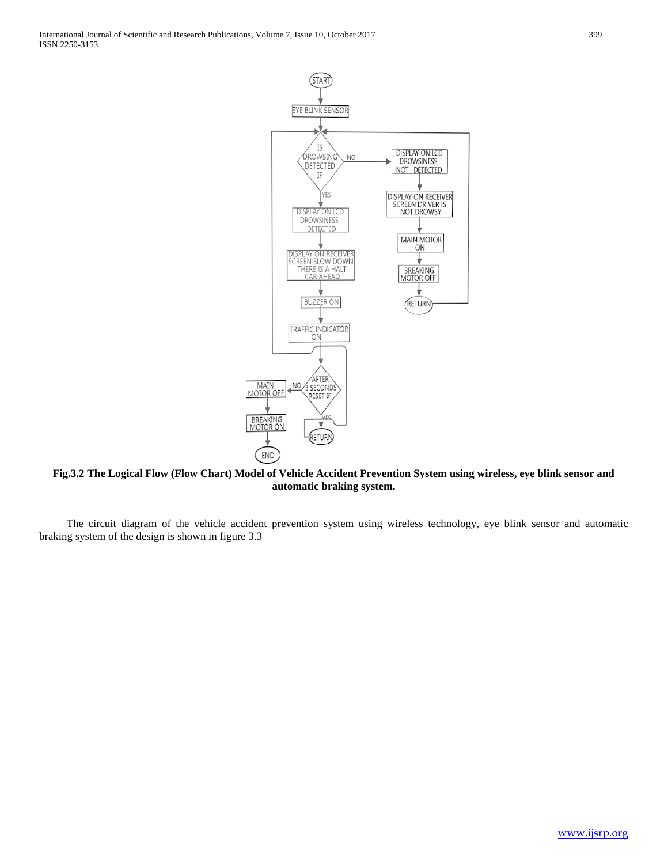

**Fig.3.2 The Logical Flow (Flow Chart) Model of Vehicle Accident Prevention System using wireless, eye blink sensor and automatic braking system.**

The circuit diagram of the vehicle accident prevention system using wireless technology, eye blink sensor and automatic braking system of the design is shown in figure 3.3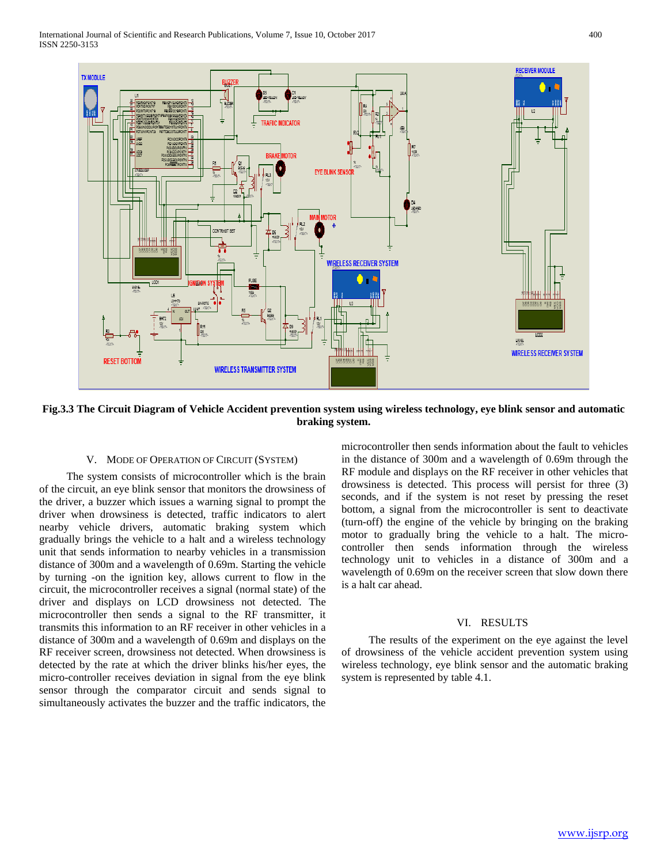

**Fig.3.3 The Circuit Diagram of Vehicle Accident prevention system using wireless technology, eye blink sensor and automatic braking system.**

#### V. MODE OF OPERATION OF CIRCUIT (SYSTEM)

The system consists of microcontroller which is the brain of the circuit, an eye blink sensor that monitors the drowsiness of the driver, a buzzer which issues a warning signal to prompt the driver when drowsiness is detected, traffic indicators to alert nearby vehicle drivers, automatic braking system which gradually brings the vehicle to a halt and a wireless technology unit that sends information to nearby vehicles in a transmission distance of 300m and a wavelength of 0.69m. Starting the vehicle by turning -on the ignition key, allows current to flow in the circuit, the microcontroller receives a signal (normal state) of the driver and displays on LCD drowsiness not detected. The microcontroller then sends a signal to the RF transmitter, it transmits this information to an RF receiver in other vehicles in a distance of 300m and a wavelength of 0.69m and displays on the RF receiver screen, drowsiness not detected. When drowsiness is detected by the rate at which the driver blinks his/her eyes, the micro-controller receives deviation in signal from the eye blink sensor through the comparator circuit and sends signal to simultaneously activates the buzzer and the traffic indicators, the

microcontroller then sends information about the fault to vehicles in the distance of 300m and a wavelength of 0.69m through the RF module and displays on the RF receiver in other vehicles that drowsiness is detected. This process will persist for three (3) seconds, and if the system is not reset by pressing the reset bottom, a signal from the microcontroller is sent to deactivate (turn-off) the engine of the vehicle by bringing on the braking motor to gradually bring the vehicle to a halt. The microcontroller then sends information through the wireless technology unit to vehicles in a distance of 300m and a wavelength of 0.69m on the receiver screen that slow down there is a halt car ahead.

## VI. RESULTS

The results of the experiment on the eye against the level of drowsiness of the vehicle accident prevention system using wireless technology, eye blink sensor and the automatic braking system is represented by table 4.1.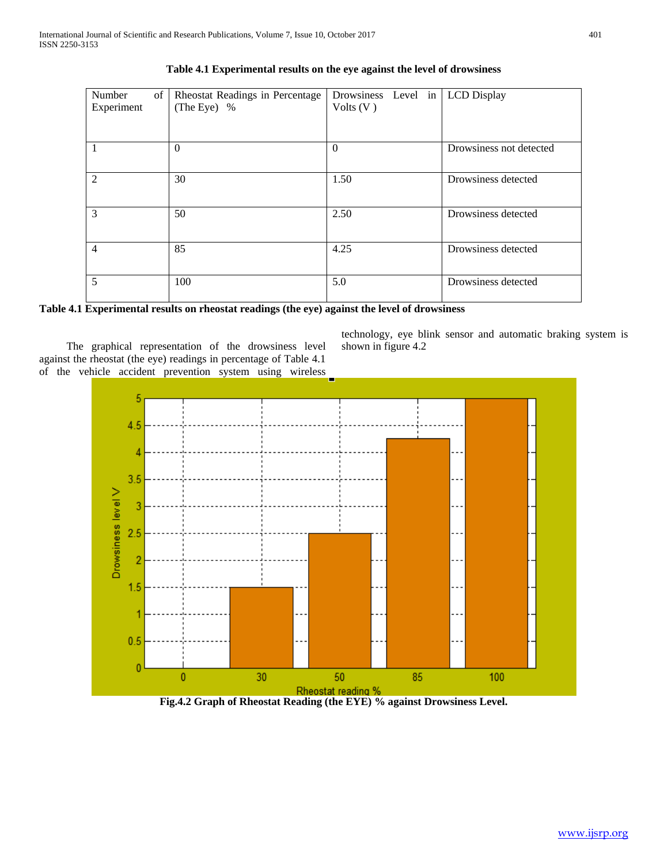| Number<br>of<br>Experiment | Rheostat Readings in Percentage<br>(The Eye) % | Drowsiness Level in   LCD Display<br>Volts $(V)$ |                         |  |
|----------------------------|------------------------------------------------|--------------------------------------------------|-------------------------|--|
|                            | $\Omega$                                       | $\Omega$                                         | Drowsiness not detected |  |
| $\mathfrak{D}$             | 30                                             | 1.50                                             | Drowsiness detected     |  |
| 3                          | 50                                             | 2.50                                             | Drowsiness detected     |  |
| $\overline{4}$             | 85                                             | 4.25                                             | Drowsiness detected     |  |
| 5                          | 100                                            | 5.0                                              | Drowsiness detected     |  |

**Table 4.1 Experimental results on the eye against the level of drowsiness**

| Table 4.1 Experimental results on rheostat readings (the eye) against the level of drowsiness |  |  |  |  |
|-----------------------------------------------------------------------------------------------|--|--|--|--|
|-----------------------------------------------------------------------------------------------|--|--|--|--|

The graphical representation of the drowsiness level against the rheostat (the eye) readings in percentage of Table 4.1 of the vehicle accident prevention system using wireless technology, eye blink sensor and automatic braking system is shown in figure 4.2



**Fig.4.2 Graph of Rheostat Reading (the EYE) % against Drowsiness Level.**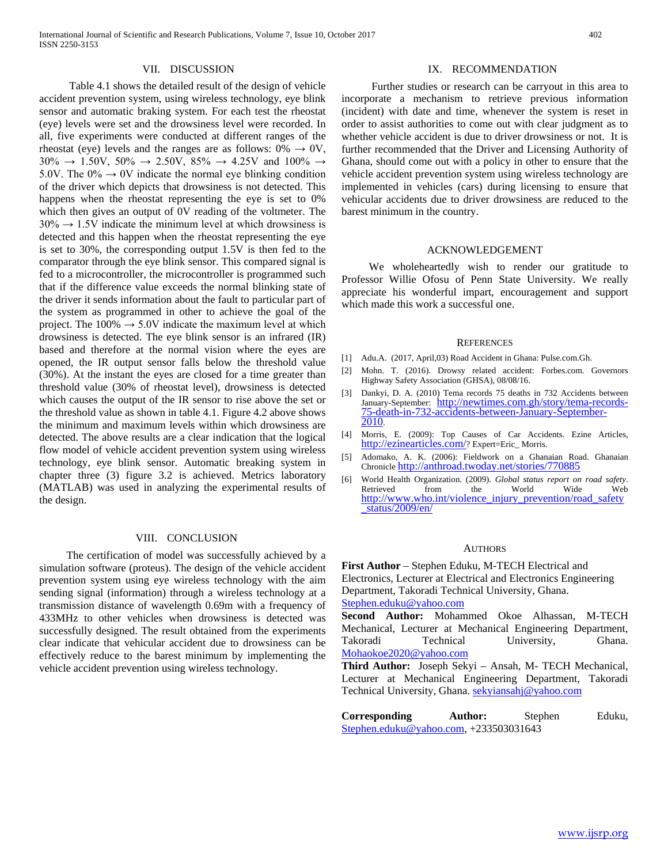Table 4.1 shows the detailed result of the design of vehicle accident prevention system, using wireless technology, eye blink sensor and automatic braking system. For each test the rheostat (eye) levels were set and the drowsiness level were recorded. In all, five experiments were conducted at different ranges of the rheostat (eye) levels and the ranges are as follows:  $0\% \rightarrow 0V$ , 30%  $\rightarrow$  1.50V, 50%  $\rightarrow$  2.50V, 85%  $\rightarrow$  4.25V and 100%  $\rightarrow$ 5.0V. The  $0\% \rightarrow 0V$  indicate the normal eye blinking condition of the driver which depicts that drowsiness is not detected. This happens when the rheostat representing the eye is set to 0% which then gives an output of 0V reading of the voltmeter. The  $30\% \rightarrow 1.5V$  indicate the minimum level at which drowsiness is detected and this happen when the rheostat representing the eye is set to 30%, the corresponding output 1.5V is then fed to the comparator through the eye blink sensor. This compared signal is fed to a microcontroller, the microcontroller is programmed such that if the difference value exceeds the normal blinking state of the driver it sends information about the fault to particular part of the system as programmed in other to achieve the goal of the project. The  $100\% \rightarrow 5.0V$  indicate the maximum level at which drowsiness is detected. The eye blink sensor is an infrared (IR) based and therefore at the normal vision where the eyes are opened, the IR output sensor falls below the threshold value (30%). At the instant the eyes are closed for a time greater than threshold value (30% of rheostat level), drowsiness is detected which causes the output of the IR sensor to rise above the set or the threshold value as shown in table 4.1. Figure 4.2 above shows the minimum and maximum levels within which drowsiness are detected. The above results are a clear indication that the logical flow model of vehicle accident prevention system using wireless technology, eye blink sensor. Automatic breaking system in chapter three (3) figure 3.2 is achieved. Metrics laboratory (MATLAB) was used in analyzing the experimental results of the design.

#### VIII. CONCLUSION

The certification of model was successfully achieved by a simulation software (proteus). The design of the vehicle accident prevention system using eye wireless technology with the aim sending signal (information) through a wireless technology at a transmission distance of wavelength 0.69m with a frequency of 433MHz to other vehicles when drowsiness is detected was successfully designed. The result obtained from the experiments clear indicate that vehicular accident due to drowsiness can be effectively reduce to the barest minimum by implementing the vehicle accident prevention using wireless technology.

## IX. RECOMMENDATION

Further studies or research can be carryout in this area to incorporate a mechanism to retrieve previous information (incident) with date and time, whenever the system is reset in order to assist authorities to come out with clear judgment as to whether vehicle accident is due to driver drowsiness or not. It is further recommended that the Driver and Licensing Authority of Ghana, should come out with a policy in other to ensure that the vehicle accident prevention system using wireless technology are implemented in vehicles (cars) during licensing to ensure that vehicular accidents due to driver drowsiness are reduced to the barest minimum in the country.

#### ACKNOWLEDGEMENT

We wholeheartedly wish to render our gratitude to Professor Willie Ofosu of Penn State University. We really appreciate his wonderful impart, encouragement and support which made this work a successful one.

#### **REFERENCES**

- [1] Adu.A. (2017, April,03) Road Accident in Ghana: Pulse.com.Gh.
- [2] Mohn. T. (2016). Drowsy related accident: Forbes.com. Governors Highway Safety Association (GHSA), 08/08/16.
- [3] Dankyi, D. A. (2010) Tema records 75 deaths in 732 Accidents between January-September: [http://newtimes.com.gh/story/tema-records-](http://newtimes.com.gh/story/tema-records-75-death-in-732-accidents-between-January-September-2010)<br>[75-death-in-732-accidents-between-January-September-](http://newtimes.com.gh/story/tema-records-75-death-in-732-accidents-between-January-September-2010)<br>2010.
- [4] Morris, E. (2009): Top Causes of Car Accidents. Ezine Articles, [http://ezinearticles.com/?](http://ezinearticles.com/) Expert=Eric\_ Morris.
- [5] Adomako, A. K. (2006): Fieldwork on a Ghanaian Road. Ghanaian Chronicl[e http://anthroad.twoday.net/stories/770885](http://anthroad.twoday.net/stories/770885)
- [6] World Health Organization. (2009). *Global status report on road safety*. Retrieved from the World Wide Web [http://www.who.int/violence\\_injury\\_prevention/road\\_safety](http://www.who.int/violence_injury_prevention/road_safety_status/2009/en/)[\\_status/2009/en/](http://www.who.int/violence_injury_prevention/road_safety_status/2009/en/)

#### **AUTHORS**

**First Author** – Stephen Eduku, M-TECH Electrical and Electronics, Lecturer at Electrical and Electronics Engineering Department, Takoradi Technical University, Ghana. [Stephen.eduku@yahoo.com](mailto:Stephen.eduku@yahoo.com)

**Second Author:** Mohammed Okoe Alhassan, M-TECH Mechanical, Lecturer at Mechanical Engineering Department, Takoradi Technical University, Ghana. [Mohaokoe2020@yahoo.com](mailto:Mohaokoe2020@yahoo.com)

**Third Author:** Joseph Sekyi – Ansah, M- TECH Mechanical, Lecturer at Mechanical Engineering Department, Takoradi Technical University, Ghana. [sekyiansahj@yahoo.com](mailto:sekyiansahj@yahoo.com)

**Corresponding Author:** Stephen Eduku, [Stephen.eduku@yahoo.com,](mailto:Stephen.eduku@yahoo.com) +233503031643